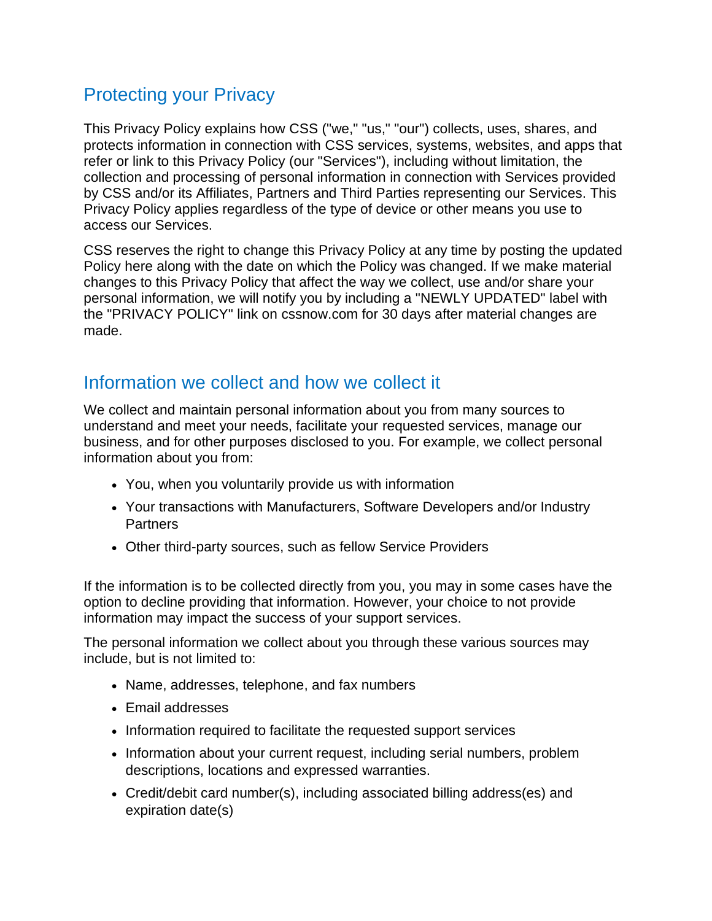## Protecting your Privacy

This Privacy Policy explains how CSS ("we," "us," "our") collects, uses, shares, and protects information in connection with CSS services, systems, websites, and apps that refer or link to this Privacy Policy (our "Services"), including without limitation, the collection and processing of personal information in connection with Services provided by CSS and/or its Affiliates, Partners and Third Parties representing our Services. This Privacy Policy applies regardless of the type of device or other means you use to access our Services.

CSS reserves the right to change this Privacy Policy at any time by posting the updated Policy here along with the date on which the Policy was changed. If we make material changes to this Privacy Policy that affect the way we collect, use and/or share your personal information, we will notify you by including a "NEWLY UPDATED" label with the "PRIVACY POLICY" link on cssnow.com for 30 days after material changes are made.

## Information we collect and how we collect it

We collect and maintain personal information about you from many sources to understand and meet your needs, facilitate your requested services, manage our business, and for other purposes disclosed to you. For example, we collect personal information about you from:

- You, when you voluntarily provide us with information
- Your transactions with Manufacturers, Software Developers and/or Industry **Partners**
- Other third-party sources, such as fellow Service Providers

If the information is to be collected directly from you, you may in some cases have the option to decline providing that information. However, your choice to not provide information may impact the success of your support services.

The personal information we collect about you through these various sources may include, but is not limited to:

- Name, addresses, telephone, and fax numbers
- Email addresses
- Information required to facilitate the requested support services
- Information about your current request, including serial numbers, problem descriptions, locations and expressed warranties.
- Credit/debit card number(s), including associated billing address(es) and expiration date(s)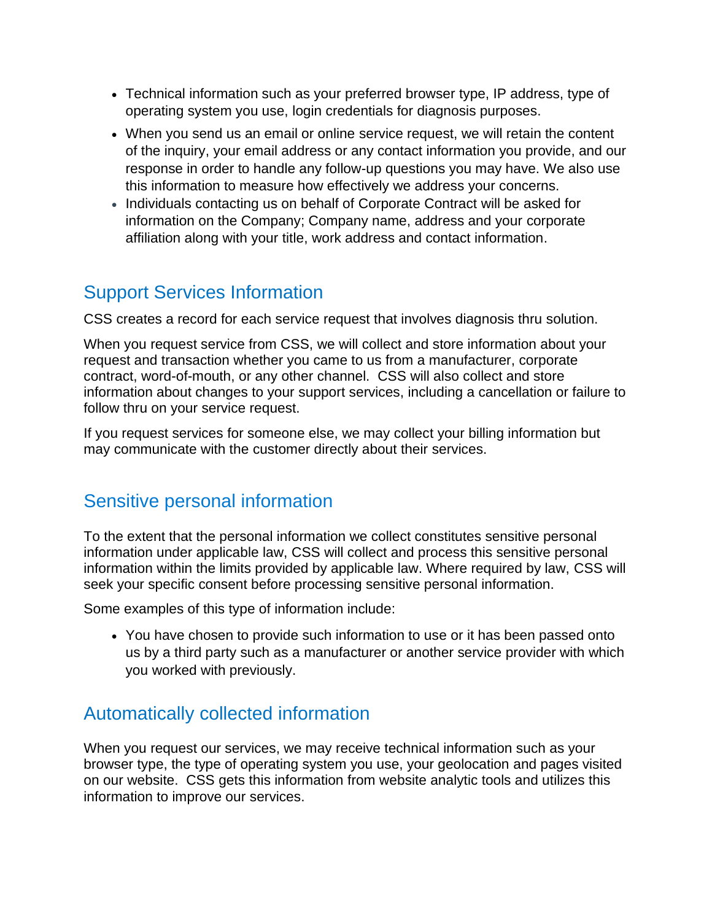- Technical information such as your preferred browser type, IP address, type of operating system you use, login credentials for diagnosis purposes.
- When you send us an email or online service request, we will retain the content of the inquiry, your email address or any contact information you provide, and our response in order to handle any follow-up questions you may have. We also use this information to measure how effectively we address your concerns.
- Individuals contacting us on behalf of Corporate Contract will be asked for information on the Company; Company name, address and your corporate affiliation along with your title, work address and contact information.

# Support Services Information

CSS creates a record for each service request that involves diagnosis thru solution.

When you request service from CSS, we will collect and store information about your request and transaction whether you came to us from a manufacturer, corporate contract, word-of-mouth, or any other channel. CSS will also collect and store information about changes to your support services, including a cancellation or failure to follow thru on your service request.

If you request services for someone else, we may collect your billing information but may communicate with the customer directly about their services.

## Sensitive personal [information](https://www.aa.com/i18n/customer-service/support/privacy-policy.jsp#sensitivepersonalinformation)

To the extent that the personal information we collect constitutes sensitive personal information under applicable law, CSS will collect and process this sensitive personal information within the limits provided by applicable law. Where required by law, CSS will seek your specific consent before processing sensitive personal information.

Some examples of this type of information include:

• You have chosen to provide such information to use or it has been passed onto us by a third party such as a manufacturer or another service provider with which you worked with previously.

# [Automatically](https://www.aa.com/i18n/customer-service/support/privacy-policy.jsp#automaticallycollected) collected information

When you request our services, we may receive technical information such as your browser type, the type of operating system you use, your geolocation and pages visited on our website. CSS gets this information from website analytic tools and utilizes this information to improve our services.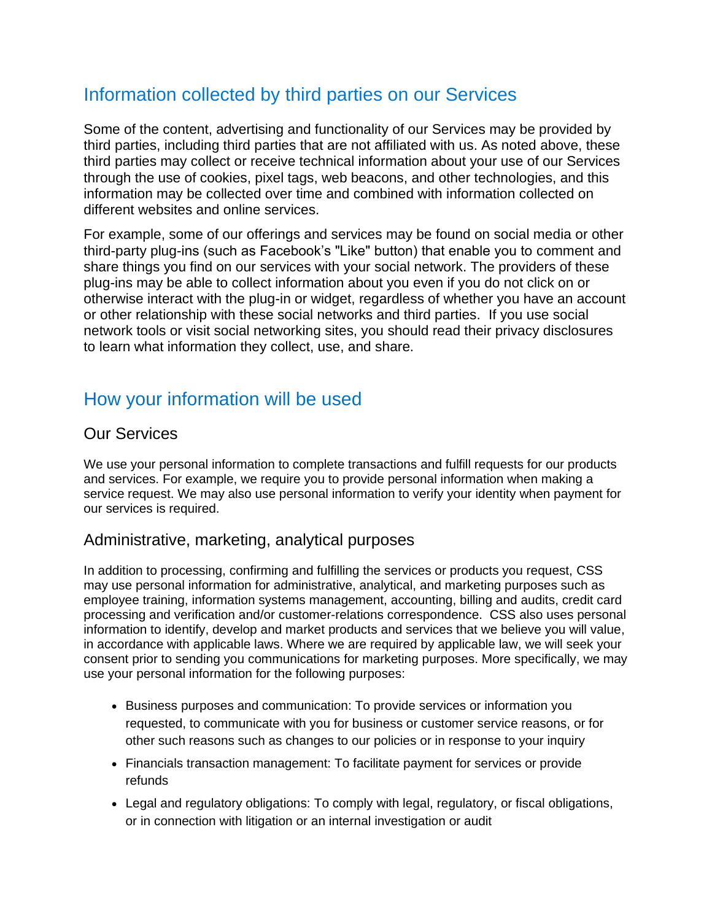# [Information](https://www.aa.com/i18n/customer-service/support/privacy-policy.jsp#informationcollected) collected by third parties on our Services

Some of the content, advertising and functionality of our Services may be provided by third parties, including third parties that are not affiliated with us. As noted above, these third parties may collect or receive technical information about your use of our Services through the use of cookies, pixel tags, web beacons, and other technologies, and this information may be collected over time and combined with information collected on different websites and online services.

For example, some of our offerings and services may be found on social media or other third-party plug-ins (such as Facebook's "Like" button) that enable you to comment and share things you find on our services with your social network. The providers of these plug-ins may be able to collect information about you even if you do not click on or otherwise interact with the plug-in or widget, regardless of whether you have an account or other relationship with these social networks and third parties. If you use social network tools or visit social networking sites, you should read their privacy disclosures to learn what information they collect, use, and share.

# How your [information](https://www.aa.com/i18n/customer-service/support/privacy-policy.jsp#howyourinformation) will be used

### Our Services

We use your personal information to complete transactions and fulfill requests for our products and services. For example, we require you to provide personal information when making a service request. We may also use personal information to verify your identity when payment for our services is required.

### Administrative, marketing, analytical purposes

In addition to processing, confirming and fulfilling the services or products you request, CSS may use personal information for administrative, analytical, and marketing purposes such as employee training, information systems management, accounting, billing and audits, credit card processing and verification and/or customer-relations correspondence. CSS also uses personal information to identify, develop and market products and services that we believe you will value, in accordance with applicable laws. Where we are required by applicable law, we will seek your consent prior to sending you communications for marketing purposes. More specifically, we may use your personal information for the following purposes:

- Business purposes and communication: To provide services or information you requested, to communicate with you for business or customer service reasons, or for other such reasons such as changes to our policies or in response to your inquiry
- Financials transaction management: To facilitate payment for services or provide refunds
- Legal and regulatory obligations: To comply with legal, regulatory, or fiscal obligations, or in connection with litigation or an internal investigation or audit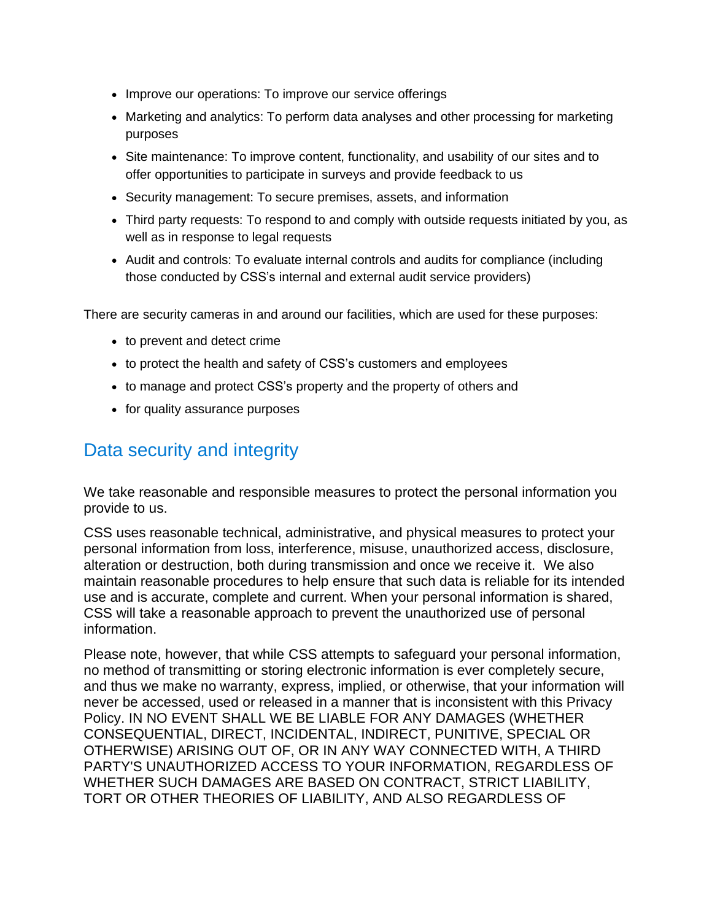- Improve our operations: To improve our service offerings
- Marketing and analytics: To perform data analyses and other processing for marketing purposes
- Site maintenance: To improve content, functionality, and usability of our sites and to offer opportunities to participate in surveys and provide feedback to us
- Security management: To secure premises, assets, and information
- Third party requests: To respond to and comply with outside requests initiated by you, as well as in response to legal requests
- Audit and controls: To evaluate internal controls and audits for compliance (including those conducted by CSS's internal and external audit service providers)

There are security cameras in and around our facilities, which are used for these purposes:

- to prevent and detect crime
- to protect the health and safety of CSS's customers and employees
- to manage and protect CSS's property and the property of others and
- for quality assurance purposes

## Data security and [integrity](https://www.aa.com/i18n/customer-service/support/privacy-policy.jsp#datasecurity)

We take reasonable and responsible measures to protect the personal information you provide to us.

CSS uses reasonable technical, administrative, and physical measures to protect your personal information from loss, interference, misuse, unauthorized access, disclosure, alteration or destruction, both during transmission and once we receive it. We also maintain reasonable procedures to help ensure that such data is reliable for its intended use and is accurate, complete and current. When your personal information is shared, CSS will take a reasonable approach to prevent the unauthorized use of personal information.

Please note, however, that while CSS attempts to safeguard your personal information, no method of transmitting or storing electronic information is ever completely secure, and thus we make no warranty, express, implied, or otherwise, that your information will never be accessed, used or released in a manner that is inconsistent with this Privacy Policy. IN NO EVENT SHALL WE BE LIABLE FOR ANY DAMAGES (WHETHER CONSEQUENTIAL, DIRECT, INCIDENTAL, INDIRECT, PUNITIVE, SPECIAL OR OTHERWISE) ARISING OUT OF, OR IN ANY WAY CONNECTED WITH, A THIRD PARTY'S UNAUTHORIZED ACCESS TO YOUR INFORMATION, REGARDLESS OF WHETHER SUCH DAMAGES ARE BASED ON CONTRACT, STRICT LIABILITY, TORT OR OTHER THEORIES OF LIABILITY, AND ALSO REGARDLESS OF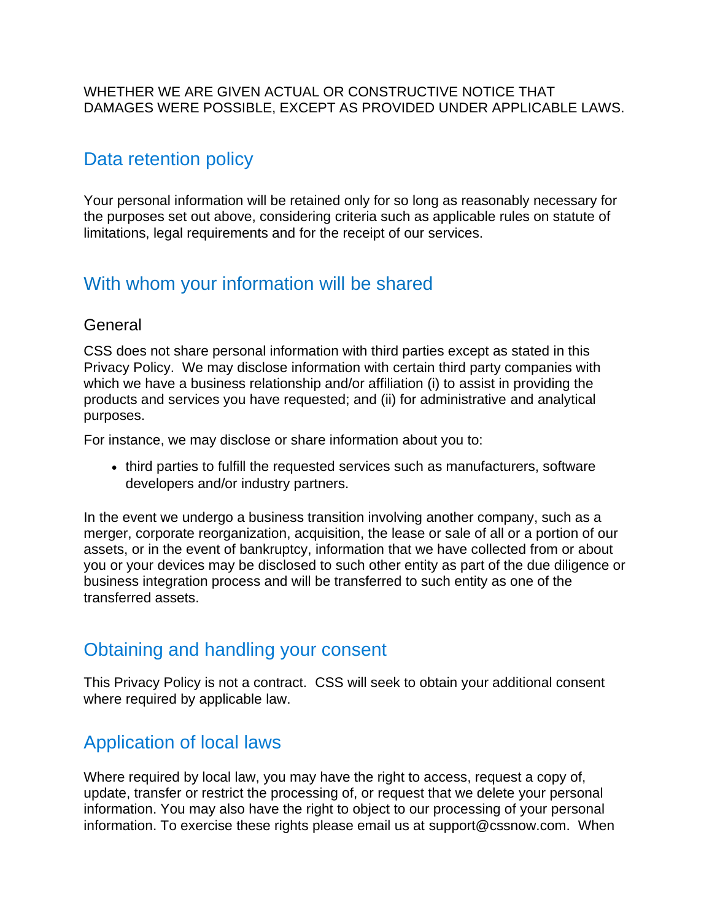#### WHETHER WE ARE GIVEN ACTUAL OR CONSTRUCTIVE NOTICE THAT DAMAGES WERE POSSIBLE, EXCEPT AS PROVIDED UNDER APPLICABLE LAWS.

### Data [retention](https://www.aa.com/i18n/customer-service/support/privacy-policy.jsp#dataretention) policy

Your personal information will be retained only for so long as reasonably necessary for the purposes set out above, considering criteria such as applicable rules on statute of limitations, legal requirements and for the receipt of our services.

### With whom your [information](https://www.aa.com/i18n/customer-service/support/privacy-policy.jsp#withwhom) will be shared

#### General

CSS does not share personal information with third parties except as stated in this Privacy Policy. We may disclose information with certain third party companies with which we have a business relationship and/or affiliation (i) to assist in providing the products and services you have requested; and (ii) for administrative and analytical purposes.

For instance, we may disclose or share information about you to:

• third parties to fulfill the requested services such as manufacturers, software developers and/or industry partners.

In the event we undergo a business transition involving another company, such as a merger, corporate reorganization, acquisition, the lease or sale of all or a portion of our assets, or in the event of bankruptcy, information that we have collected from or about you or your devices may be disclosed to such other entity as part of the due diligence or business integration process and will be transferred to such entity as one of the transferred assets.

### [Obtaining](https://www.aa.com/i18n/customer-service/support/privacy-policy.jsp#obtainingconsent) and handling your consent

This Privacy Policy is not a contract. CSS will seek to obtain your additional consent where required by applicable law.

# [Application](https://www.aa.com/i18n/customer-service/support/privacy-policy.jsp#locallaws) of local laws

Where required by local law, you may have the right to access, request a copy of, update, transfer or restrict the processing of, or request that we delete your personal information. You may also have the right to object to our processing of your personal information. To exercise these rights please email us at support@cssnow.com. When